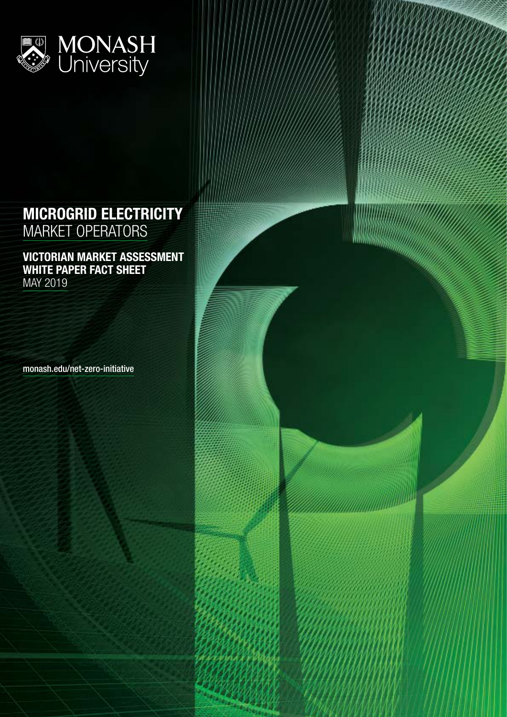

## MICROGRID ELECTRICITY MARKET OPERATORS

VICTORIAN MARKET ASSESSMENT WHITE PAPER FACT SHEET MAY 2019

monash.edu/net-zero-initiative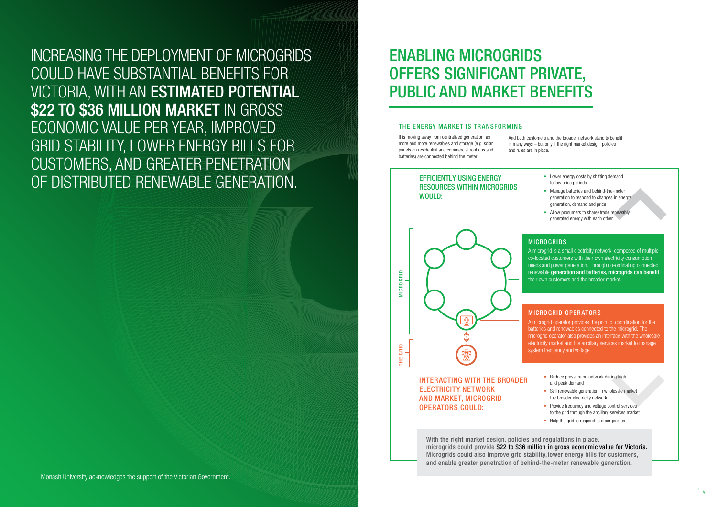INCREASING THE DEPLOYMENT OF MICROGRIDS COULD HAVE SUBSTANTIAL BENEFITS FOR VICTORIA, WITH AN ESTIMATED POTENTIAL \$22 TO \$36 MILLION MARKET IN GROSS ECONOMIC VALUE PER YEAR, IMPROVED GRID STABILITY, LOWER ENERGY BILLS FOR CUSTOMERS, AND GREATER PENETRATION OF DISTRIBUTED RENEWABLE GENERATION.

> With the right market design, policies and regulations in place, microgrids could provide \$22 to \$36 million in gross economic value for Victoria. Microgrids could also improve grid stability, lower energy bills for customers, and enable greater penetration of behind-the-meter renewable generation.

# ENABLING MICROGRIDS OFFERS SIGNIFICANT PRIVATE, PUBLIC AND MARKET BENEFITS PRIVATE, PUBLIC AND MARKET BENEFITS

#### THE ENERGY MARKET IS TRANSFORMING

It is moving away from centralised generation, as more and more renewables and storage (e.g. solar panels on residential and commercial rooftops and batteries) are connected behind the meter.

> A microgrid is a small electricity network, composed of multiple co-located customers with their own electricity consumption needs and power generation. Through co-ordinating connected renewable generation and batteries, microgrids can benefit their own customers and the broader market.

> A microgrid operator provides the point of coordination for the batteries and renewables connected to the microgrid. The microgrid operator also provides an interface with the wholesale electricity market and the ancillary services market to manage system frequency and voltage.

- Reduce pressure on network during high and peak demand
- Sell renewable generation in wholesale market the broader electricity network
- Provide frequency and voltage control services to the grid through the ancillary services market
- Help the grid to respond to emergencies



- Lower energy costs by shifting demand to low price periods
- Manage batteries and behind-the-meter generation to respond to changes in energy generation, demand and price
- Allow prosumers to share/trade renewably generated energy with each other

#### **MICROGRIDS**

And both customers and the broader network stand to benefit in many ways – but only if the right market design, policies

and rules are in place.

#### MICROGRID OPER ATORS

### EFFICIENTLY USING ENERGY RESOURCES WITHIN MICROGRIDS WOULD:

INTERACTING WITH THE BROADER ELECTRICITY NETWORK AND MARKET, MICROGRID OPERATORS COULD: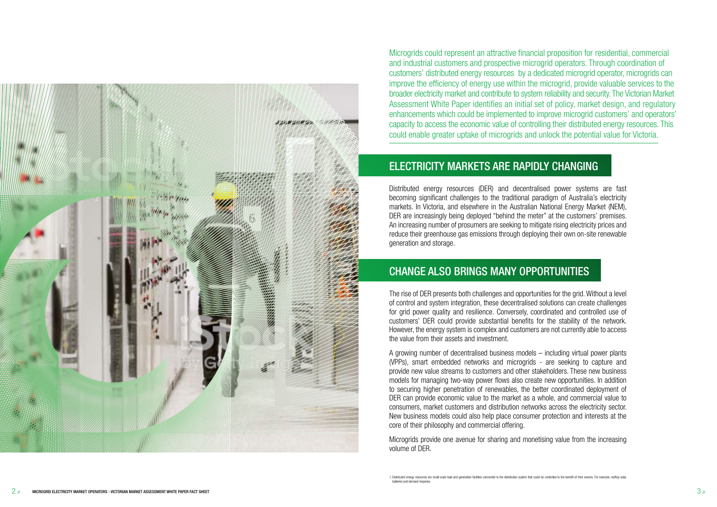

Microgrids could represent an attractive financial proposition for residential, commercial and industrial customers and prospective microgrid operators. Through coordination of customers' distributed energy resources by a dedicated microgrid operator, microgrids can improve the efficiency of energy use within the microgrid, provide valuable services to the broader electricity market and contribute to system reliability and security. The Victorian Market Assessment White Paper identifies an initial set of policy, market design, and regulatory enhancements which could be implemented to improve microgrid customers' and operators' capacity to access the economic value of controlling their distributed energy resources. This could enable greater uptake of microgrids and unlock the potential value for Victoria.

## ELECTRICITY MARKETS ARE RAPIDLY CHANGING

Distributed energy resources (DER) and decentralised power systems are fast becoming significant challenges to the traditional paradigm of Australia's electricity markets. In Victoria, and elsewhere in the Australian National Energy Market (NEM), DER are increasingly being deployed "behind the meter" at the customers' premises. An increasing number of prosumers are seeking to mitigate rising electricity prices and reduce their greenhouse gas emissions through deploying their own on-site renewable generation and storage.

## CHANGE ALSO BRINGS MANY OPPORTUNITIES

The rise of DER presents both challenges and opportunities for the grid. Without a level of control and system integration, these decentralised solutions can create challenges for grid power quality and resilience. Conversely, coordinated and controlled use of customers' DER could provide substantial benefits for the stability of the network. However, the energy system is complex and customers are not currently able to access the value from their assets and investment.

A growing number of decentralised business models – including virtual power plants (VPPs), smart embedded networks and microgrids - are seeking to capture and provide new value streams to customers and other stakeholders. These new business models for managing two-way power flows also create new opportunities. In addition to securing higher penetration of renewables, the better coordinated deployment of DER can provide economic value to the market as a whole, and commercial value to consumers, market customers and distribution networks across the electricity sector. New business models could also help place consumer protection and interests at the core of their philosophy and commercial offering.

Microgrids provide one avenue for sharing and monetising value from the increasing volume of DER.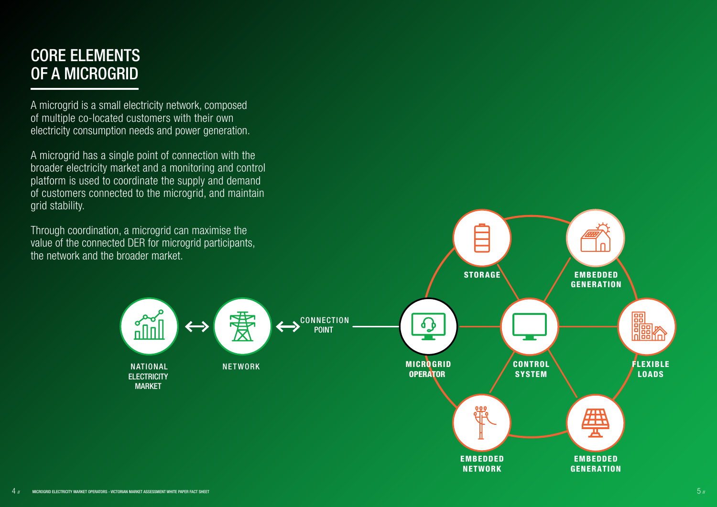# CORE ELEMENTS OF A MICROGRID

A microgrid has a single point of connection with the broader electricity market and a monitoring and control platform is used to coordinate the supply and demand of customers connected to the microgrid, and maintain **grid stability** 

A microgrid is a small electricity network, composed of multiple co-located customers with their own electricity consumption needs and power generation.

Through coordination, a microgrid can maximise the value of the connected DER for microgrid participants, the network and the broader market.

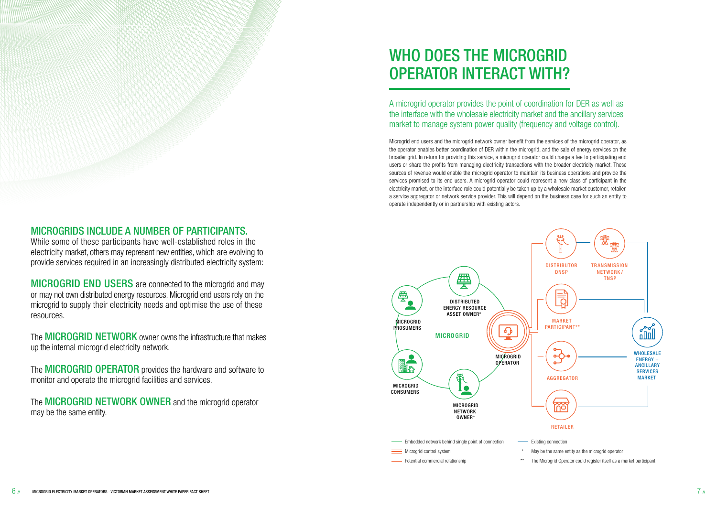### MICROGRIDS INCLUDE A NUMBER OF PARTICIPANTS.

While some of these participants have well-established roles in the electricity market, others may represent new entities, which are evolving to provide services required in an increasingly distributed electricity system:

**MICROGRID END USERS** are connected to the microgrid and may or may not own distributed energy resources. Microgrid end users rely on the microgrid to supply their electricity needs and optimise the use of these resources.

The **MICROGRID NETWORK** owner owns the infrastructure that makes up the internal microgrid electricity network.

The **MICROGRID OPERATOR** provides the hardware and software to monitor and operate the microgrid facilities and services.

The **MICROGRID NETWORK OWNER** and the microgrid operator may be the same entity.

# WHO DOES THE MICROGRID OPERATOR INTERACT WITH?

A microgrid operator provides the point of coordination for DER as well as the interface with the wholesale electricity market and the ancillary services market to manage system power quality (frequency and voltage control).

Microgrid end users and the microgrid network owner benefit from the services of the microgrid operator, as the operator enables better coordination of DER within the microgrid, and the sale of energy services on the broader grid. In return for providing this service, a microgrid operator could charge a fee to participating end users or share the profits from managing electricity transactions with the broader electricity market. These sources of revenue would enable the microgrid operator to maintain its business operations and provide the services promised to its end users. A microgrid operator could represent a new class of participant in the electricity market, or the interface role could potentially be taken up by a wholesale market customer, retailer, a service aggregator or network service provider. This will depend on the business case for such an entity to operate independently or in partnership with existing actors.



- 
- 
- 
-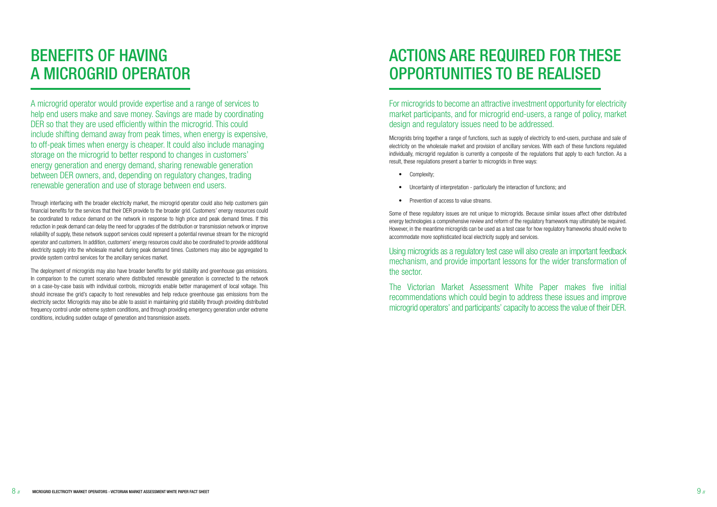# BENEFITS OF HAVING A MICROGRID OPERATOR

A microgrid operator would provide expertise and a range of services to help end users make and save money. Savings are made by coordinating DER so that they are used efficiently within the microgrid. This could include shifting demand away from peak times, when energy is expensive, to off-peak times when energy is cheaper. It could also include managing storage on the microgrid to better respond to changes in customers' energy generation and energy demand, sharing renewable generation between DER owners, and, depending on regulatory changes, trading renewable generation and use of storage between end users.

Through interfacing with the broader electricity market, the microgrid operator could also help customers gain financial benefits for the services that their DER provide to the broader grid. Customers' energy resources could be coordinated to reduce demand on the network in response to high price and peak demand times. If this reduction in peak demand can delay the need for upgrades of the distribution or transmission network or improve reliability of supply, these network support services could represent a potential revenue stream for the microgrid operator and customers. In addition, customers' energy resources could also be coordinated to provide additional electricity supply into the wholesale market during peak demand times. Customers may also be aggregated to provide system control services for the ancillary services market.

The deployment of microgrids may also have broader benefits for grid stability and greenhouse gas emissions. In comparison to the current scenario where distributed renewable generation is connected to the network on a case-by-case basis with individual controls, microgrids enable better management of local voltage. This should increase the grid's capacity to host renewables and help reduce greenhouse gas emissions from the electricity sector. Microgrids may also be able to assist in maintaining grid stability through providing distributed frequency control under extreme system conditions, and through providing emergency generation under extreme conditions, including sudden outage of generation and transmission assets.

# ACTIONS ARE REQUIRED FOR THESE OPPORTUNITIES TO BE REALISED

For microgrids to become an attractive investment opportunity for electricity market participants, and for microgrid end-users, a range of policy, market design and regulatory issues need to be addressed.

Microgrids bring together a range of functions, such as supply of electricity to end-users, purchase and sale of electricity on the wholesale market and provision of ancillary services. With each of these functions regulated individually, microgrid regulation is currently a composite of the regulations that apply to each function. As a result, these regulations present a barrier to microgrids in three ways:

- Complexity;
- Uncertainty of interpretation particularly the interaction of functions; and
- Prevention of access to value streams.

Some of these regulatory issues are not unique to microgrids. Because similar issues affect other distributed energy technologies a comprehensive review and reform of the regulatory framework may ultimately be required. However, in the meantime microgrids can be used as a test case for how regulatory frameworks should evolve to accommodate more sophisticated local electricity supply and services.

Using microgrids as a regulatory test case will also create an important feedback mechanism, and provide important lessons for the wider transformation of the sector.

The Victorian Market Assessment White Paper makes five initial recommendations which could begin to address these issues and improve microgrid operators' and participants' capacity to access the value of their DER.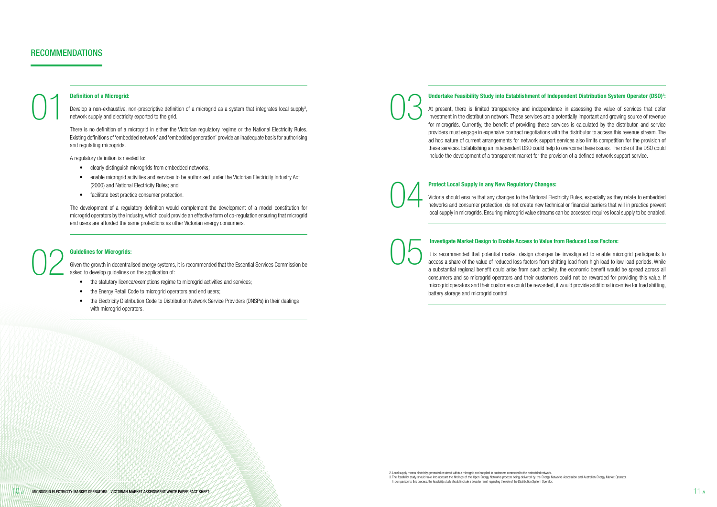#### Definition of a Microgrid:

Develop a non-exhaustive, non-prescriptive definition of a microgrid as a system that integrates local supply<sup>2</sup>, network supply and electricity exported to the grid. Definition of a Microgrid:<br>Develop a non-exhaustive, non-prescriptive definition of a microgrid as a system that integrates local supply<sup>2</sup>,<br>network supply and electricity exported to the grid.

There is no definition of a microgrid in either the Victorian regulatory regime or the National Electricity Rules. Existing definitions of 'embedded network' and 'embedded generation' provide an inadequate basis for authorising and regulating microgrids.

A regulatory definition is needed to:

### Guidelines for Microgrids: Given the growth in decentralised energy systems, it is recommended that the Essential Services Commission be asked to develop guidelines on the application of: Guidelines for Microgrids:<br>Given the growth in decentralised energy systems, it is recommended that the Essential Services Commission be<br>asked to develop guidelines on the application of:

- clearly distinguish microgrids from embedded networks;
- enable microgrid activities and services to be authorised under the Victorian Electricity Industry Act (2000) and National Electricity Rules; and
- facilitate best practice consumer protection.

- the statutory licence/exemptions regime to microgrid activities and services:
- the Energy Retail Code to microgrid operators and end users;
- the Electricity Distribution Code to Distribution Network Service Providers (DNSPs) in their dealings with microgrid operators.

#### Undertake Feasibility Study into Establishment of Independent Distribution System Operator (DSO)<sup>3</sup>:

The development of a regulatory definition would complement the development of a model constitution for microgrid operators by the industry, which could provide an effective form of co-regulation ensuring that microgrid end users are afforded the same protections as other Victorian energy consumers.

At present, there is limited transparency and independence in assessing the value of services that defer investment in the distribution network. These services are a potentially important and growing source of revenue for microgrids. Currently, the benefit of providing these services is calculated by the distributor, and service providers must engage in expensive contract negotiations with the distributor to access this revenue stream. The ad hoc nature of current arrangements for network support services also limits competition for the provision of these services. Establishing an independent DSO could help to overcome these issues. The role of the DSO could include the development of a transparent market for the provision of a defined network support service.

#### Protect Local Supply in any New Regulatory Changes:

Victoria should ensure that any changes to the National Electricity Rules, especially as they relate to embedded networks and consumer protection, do not create new technical or financial barriers that will in practice prevent local supply in microgrids. Ensuring microgrid value streams can be accessed requires local supply to be enabled.

#### Investigate Market Design to Enable Access to Value from Reduced Loss Factors:

It is recommended that potential market design changes be investigated to enable microgrid participants to access a share of the value of reduced loss factors from shifting load from high load to low load periods. While a substantial regional benefit could arise from such activity, the economic benefit would be spread across all consumers and so microgrid operators and their customers could not be rewarded for providing this value. If microgrid operators and their customers could be rewarded, it would provide additional incentive for load shifting, battery storage and microgrid control.

04

### RECOMMENDATIONS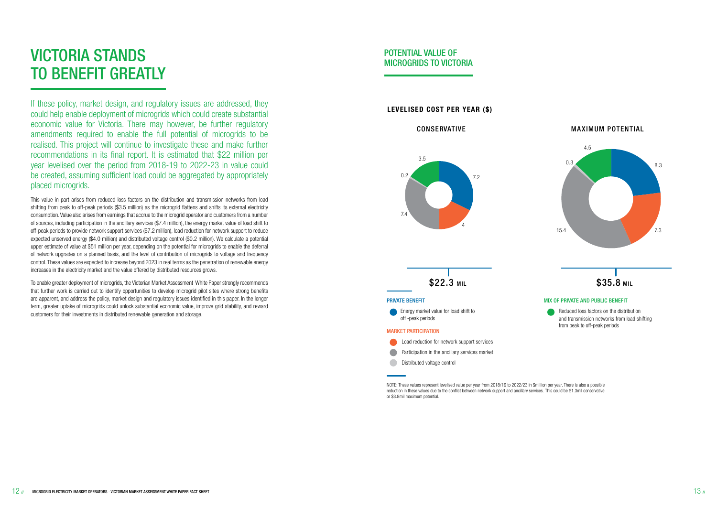# VICTORIA STANDS TO BENEFIT GREATLY

If these policy, market design, and regulatory issues are addressed, they could help enable deployment of microgrids which could create substantial economic value for Victoria. There may however, be further regulatory amendments required to enable the full potential of microgrids to be realised. This project will continue to investigate these and make further recommendations in its final report. It is estimated that \$22 million per year levelised over the period from 2018-19 to 2022-23 in value could be created, assuming sufficient load could be aggregated by appropriately placed microgrids.

This value in part arises from reduced loss factors on the distribution and transmission networks from load shifting from peak to off-peak periods (\$3.5 million) as the microgrid flattens and shifts its external electricity consumption. Value also arises from earnings that accrue to the microgrid operator and customers from a number of sources, including participation in the ancillary services (\$7.4 million), the energy market value of load shift to off-peak periods to provide network support services (\$7.2 million), load reduction for network support to reduce expected unserved energy (\$4.0 million) and distributed voltage control (\$0.2 million). We calculate a potential upper estimate of value at \$51 million per year, depending on the potential for microgrids to enable the deferral of network upgrades on a planned basis, and the level of contribution of microgrids to voltage and frequency control. These values are expected to increase beyond 2023 in real terms as the penetration of renewable energy increases in the electricity market and the value offered by distributed resources grows.

To enable greater deployment of microgrids, the Victorian Market Assessment White Paper strongly recommends that further work is carried out to identify opportunities to develop microgrid pilot sites where strong benefits are apparent, and address the policy, market design and regulatory issues identified in this paper. In the longer term, greater uptake of microgrids could unlock substantial economic value, improve grid stability, and reward customers for their investments in distributed renewable generation and storage.

#### CONSERVATIVE

#### LEVELISED COST PER YEAR (\$)

### MA XIMUM POTENTIAL



#### MIX OF PRIVATE AND PUBLIC BENEFIT





NOTE: These values represent levelised value per year from 2018/19 to 2022/23 in \$million per year. There is also a possible reduction in these values due to the conflict between network support and ancillary services. This could be \$1.3mil conservative or \$3.8mil maximum potential.



### POTENTIAL VALUE OF MICROGRIDS TO VICTORIA